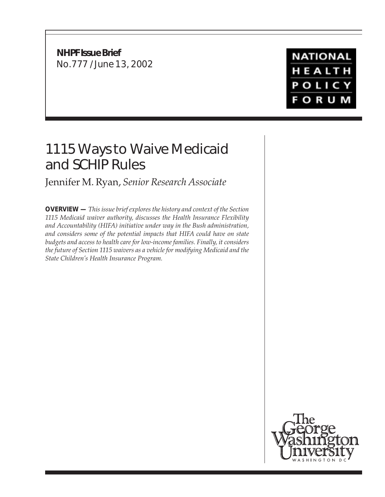**NHPF Issue Brief** No.777 / June 13, 2002

# **NATIONAL** HEALTH POLICY **FORUM**

# 1115 Ways to Waive Medicaid and SCHIP Rules

# Jennifer M. Ryan, *Senior Research Associate*

**OVERVIEW —** *This issue brief explores the history and context of the Section 1115 Medicaid waiver authority, discusses the Health Insurance Flexibility and Accountability (HIFA) initiative under way in the Bush administration, and considers some of the potential impacts that HIFA could have on state budgets and access to health care for low-income families. Finally, it considers the future of Section 1115 waivers as a vehicle for modifying Medicaid and the State Children's Health Insurance Program.*

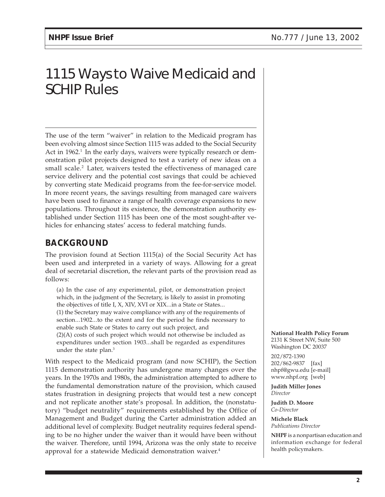# 1115 Ways to Waive Medicaid and SCHIP Rules

The use of the term "waiver" in relation to the Medicaid program has been evolving almost since Section 1115 was added to the Social Security Act in  $1962<sup>1</sup>$  In the early days, waivers were typically research or demonstration pilot projects designed to test a variety of new ideas on a small scale.<sup>2</sup> Later, waivers tested the effectiveness of managed care service delivery and the potential cost savings that could be achieved by converting state Medicaid programs from the fee-for-service model. In more recent years, the savings resulting from managed care waivers have been used to finance a range of health coverage expansions to new populations. Throughout its existence, the demonstration authority established under Section 1115 has been one of the most sought-after vehicles for enhancing states' access to federal matching funds.

## **BACKGROUND**

The provision found at Section 1115(a) of the Social Security Act has been used and interpreted in a variety of ways. Allowing for a great deal of secretarial discretion, the relevant parts of the provision read as follows:

(a) In the case of any experimental, pilot, or demonstration project which, in the judgment of the Secretary, is likely to assist in promoting the objectives of title I, X, XIV, XVI or XIX...in a State or States... (1) the Secretary may waive compliance with any of the requirements of

section...1902...to the extent and for the period he finds necessary to enable such State or States to carry out such project, and

(2)(A) costs of such project which would not otherwise be included as expenditures under section 1903...shall be regarded as expenditures under the state plan.<sup>3</sup>

With respect to the Medicaid program (and now SCHIP), the Section 1115 demonstration authority has undergone many changes over the years. In the 1970s and 1980s, the administration attempted to adhere to the fundamental demonstration nature of the provision, which caused states frustration in designing projects that would test a new concept and not replicate another state's proposal. In addition, the (nonstatutory) "budget neutrality" requirements established by the Office of Management and Budget during the Carter administration added an additional level of complexity. Budget neutrality requires federal spending to be no higher under the waiver than it would have been without the waiver. Therefore, until 1994, Arizona was the only state to receive approval for a statewide Medicaid demonstration waiver.<sup>4</sup>

**National Health Policy Forum** 2131 K Street NW, Suite 500 Washington DC 20037

202/872-1390 202/862-9837 [fax] nhpf@gwu.edu [e-mail] www.nhpf.org [web]

**Judith Miller Jones** *Director*

**Judith D. Moore** *Co-Director*

**Michele Black** *Publications Director*

**NHPF** is a nonpartisan education and information exchange for federal health policymakers.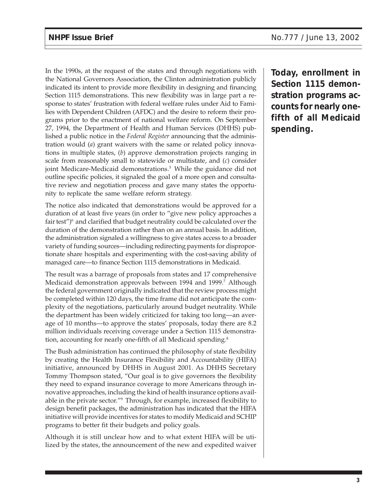In the 1990s, at the request of the states and through negotiations with the National Governors Association, the Clinton administration publicly indicated its intent to provide more flexibility in designing and financing Section 1115 demonstrations. This new flexibility was in large part a response to states' frustration with federal welfare rules under Aid to Families with Dependent Children (AFDC) and the desire to reform their programs prior to the enactment of national welfare reform. On September 27, 1994, the Department of Health and Human Services (DHHS) published a public notice in the *Federal Register* announcing that the administration would (*a*) grant waivers with the same or related policy innovations in multiple states, (*b*) approve demonstration projects ranging in scale from reasonably small to statewide or multistate, and (*c*) consider joint Medicare-Medicaid demonstrations.<sup>5</sup> While the guidance did not outline specific policies, it signaled the goal of a more open and consultative review and negotiation process and gave many states the opportunity to replicate the same welfare reform strategy.

The notice also indicated that demonstrations would be approved for a duration of at least five years (in order to "give new policy approaches a fair test")<sup>6</sup> and clarified that budget neutrality could be calculated over the duration of the demonstration rather than on an annual basis. In addition, the administration signaled a willingness to give states access to a broader variety of funding sources—including redirecting payments for disproportionate share hospitals and experimenting with the cost-saving ability of managed care—to finance Section 1115 demonstrations in Medicaid.

The result was a barrage of proposals from states and 17 comprehensive Medicaid demonstration approvals between 1994 and 1999.<sup>7</sup> Although the federal government originally indicated that the review process might be completed within 120 days, the time frame did not anticipate the complexity of the negotiations, particularly around budget neutrality. While the department has been widely criticized for taking too long—an average of 10 months—to approve the states' proposals, today there are 8.2 million individuals receiving coverage under a Section 1115 demonstration, accounting for nearly one-fifth of all Medicaid spending.<sup>8</sup>

The Bush administration has continued the philosophy of state flexibility by creating the Health Insurance Flexibility and Accountability (HIFA) initiative, announced by DHHS in August 2001. As DHHS Secretary Tommy Thompson stated, "Our goal is to give governors the flexibility they need to expand insurance coverage to more Americans through innovative approaches, including the kind of health insurance options available in the private sector."9 Through, for example, increased flexibility to design benefit packages, the administration has indicated that the HIFA initiative will provide incentives for states to modify Medicaid and SCHIP programs to better fit their budgets and policy goals.

Although it is still unclear how and to what extent HIFA will be utilized by the states, the announcement of the new and expedited waiver **Today, enrollment in Section 1115 demonstration programs accounts for nearly onefifth of all Medicaid spending.**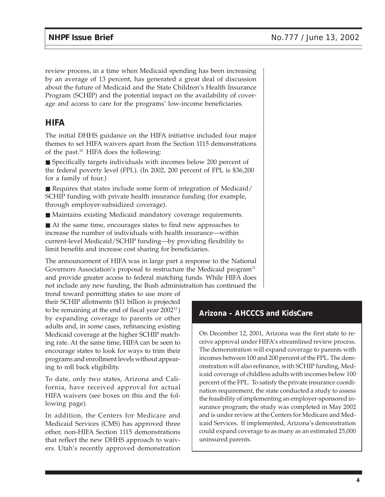review process, in a time when Medicaid spending has been increasing by an average of 13 percent, has generated a great deal of discussion about the future of Medicaid and the State Children's Health Insurance Program (SCHIP) and the potential impact on the availability of coverage and access to care for the programs' low-income beneficiaries.

#### **HIFA**

The initial DHHS guidance on the HIFA initiative included four major themes to set HIFA waivers apart from the Section 1115 demonstrations of the past.10 HIFA does the following:

■ Specifically targets individuals with incomes below 200 percent of the federal poverty level (FPL). (In 2002, 200 percent of FPL is \$36,200 for a family of four.)

■ Requires that states include some form of integration of Medicaid/ SCHIP funding with private health insurance funding (for example, through employer-subsidized coverage).

■ Maintains existing Medicaid mandatory coverage requirements.

■ At the same time, encourages states to find new approaches to increase the number of individuals with health insurance—within current-level Medicaid/SCHIP funding—by providing flexibility to limit benefits and increase cost sharing for beneficiaries.

The announcement of HIFA was in large part a response to the National Governors Association's proposal to restructure the Medicaid program<sup>11</sup> and provide greater access to federal matching funds. While HIFA does not include any new funding, the Bush administration has continued the

trend toward permitting states to use more of their SCHIP allotments (\$11 billion is projected to be remaining at the end of fiscal year 200212 ) by expanding coverage to parents or other adults and, in some cases, refinancing existing Medicaid coverage at the higher SCHIP matching rate. At the same time, HIFA can be seen to encourage states to look for ways to trim their programs and enrollment levels without appearing to roll back eligibility.

To date, only two states, Arizona and California, have received approval for actual HIFA waivers (see boxes on this and the following page).

In addition, the Centers for Medicare and Medicaid Services (CMS) has approved three other, non-HIFA Section 1115 demonstrations that reflect the new DHHS approach to waivers. Utah's recently approved demonstration

### **Arizona – AHCCCS and KidsCare**

On December 12, 2001, Arizona was the first state to receive approval under HIFA's streamlined review process. The demonstration will expand coverage to parents with incomes between 100 and 200 percent of the FPL. The demonstration will also refinance, with SCHIP funding, Medicaid coverage of childless adults with incomes below 100 percent of the FPL. To satisfy the private insurance coordination requirement, the state conducted a study to assess the feasibility of implementing an employer-sponsored insurance program; the study was completed in May 2002 and is under review at the Centers for Medicare and Medicaid Services. If implemented, Arizona's demonstration could expand coverage to as many as an estimated 25,000 uninsured parents.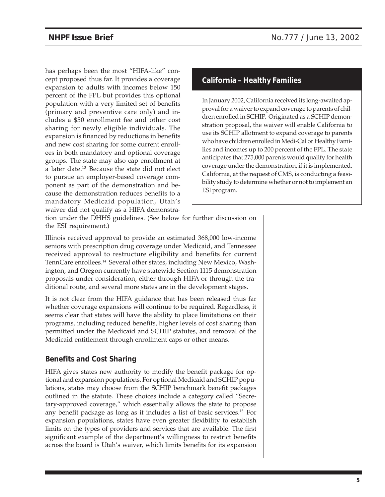has perhaps been the most "HIFA-like" concept proposed thus far. It provides a coverage expansion to adults with incomes below 150 percent of the FPL but provides this optional population with a very limited set of benefits (primary and preventive care only) and includes a \$50 enrollment fee and other cost sharing for newly eligible individuals. The expansion is financed by reductions in benefits and new cost sharing for some current enrollees in both mandatory and optional coverage groups. The state may also cap enrollment at a later date.13 Because the state did not elect to pursue an employer-based coverage component as part of the demonstration and because the demonstration reduces benefits to a mandatory Medicaid population, Utah's waiver did not qualify as a HIFA demonstra-

#### **California – Healthy Families**

In January 2002, California received its long-awaited approval for a waiver to expand coverage to parents of children enrolled in SCHIP. Originated as a SCHIP demonstration proposal, the waiver will enable California to use its SCHIP allotment to expand coverage to parents who have children enrolled in Medi-Cal or Healthy Families and incomes up to 200 percent of the FPL. The state anticipates that 275,000 parents would qualify for health coverage under the demonstration, if it is implemented. California, at the request of CMS, is conducting a feasibility study to determine whether or not to implement an ESI program.

tion under the DHHS guidelines. (See below for further discussion on the ESI requirement.)

Illinois received approval to provide an estimated 368,000 low-income seniors with prescription drug coverage under Medicaid, and Tennessee received approval to restructure eligibility and benefits for current TennCare enrollees.<sup>14</sup> Several other states, including New Mexico, Washington, and Oregon currently have statewide Section 1115 demonstration proposals under consideration, either through HIFA or through the traditional route, and several more states are in the development stages.

It is not clear from the HIFA guidance that has been released thus far whether coverage expansions will continue to be required. Regardless, it seems clear that states will have the ability to place limitations on their programs, including reduced benefits, higher levels of cost sharing than permitted under the Medicaid and SCHIP statutes, and removal of the Medicaid entitlement through enrollment caps or other means.

#### **Benefits and Cost Sharing**

HIFA gives states new authority to modify the benefit package for optional and expansion populations. For optional Medicaid and SCHIP populations, states may choose from the SCHIP benchmark benefit packages outlined in the statute. These choices include a category called "Secretary-approved coverage," which essentially allows the state to propose any benefit package as long as it includes a list of basic services.15 For expansion populations, states have even greater flexibility to establish limits on the types of providers and services that are available. The first significant example of the department's willingness to restrict benefits across the board is Utah's waiver, which limits benefits for its expansion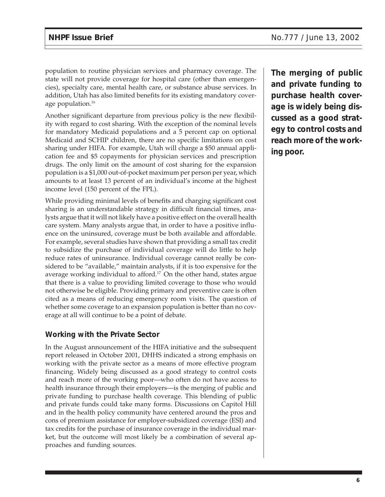population to routine physician services and pharmacy coverage. The state will not provide coverage for hospital care (other than emergencies), specialty care, mental health care, or substance abuse services. In addition, Utah has also limited benefits for its existing mandatory coverage population.<sup>16</sup>

Another significant departure from previous policy is the new flexibility with regard to cost sharing. With the exception of the nominal levels for mandatory Medicaid populations and a 5 percent cap on optional Medicaid and SCHIP children, there are no specific limitations on cost sharing under HIFA. For example, Utah will charge a \$50 annual application fee and \$5 copayments for physician services and prescription drugs. The only limit on the amount of cost sharing for the expansion population is a \$1,000 out-of-pocket maximum per person per year, which amounts to at least 13 percent of an individual's income at the highest income level (150 percent of the FPL).

While providing minimal levels of benefits and charging significant cost sharing is an understandable strategy in difficult financial times, analysts argue that it will not likely have a positive effect on the overall health care system. Many analysts argue that, in order to have a positive influence on the uninsured, coverage must be both available and affordable. For example, several studies have shown that providing a small tax credit to subsidize the purchase of individual coverage will do little to help reduce rates of uninsurance. Individual coverage cannot really be considered to be "available," maintain analysts, if it is too expensive for the average working individual to afford.<sup>17</sup> On the other hand, states argue that there is a value to providing limited coverage to those who would not otherwise be eligible. Providing primary and preventive care is often cited as a means of reducing emergency room visits. The question of whether some coverage to an expansion population is better than no coverage at all will continue to be a point of debate.

#### **Working with the Private Sector**

In the August announcement of the HIFA initiative and the subsequent report released in October 2001, DHHS indicated a strong emphasis on working with the private sector as a means of more effective program financing. Widely being discussed as a good strategy to control costs and reach more of the working poor—who often do not have access to health insurance through their employers—is the merging of public and private funding to purchase health coverage. This blending of public and private funds could take many forms. Discussions on Capitol Hill and in the health policy community have centered around the pros and cons of premium assistance for employer-subsidized coverage (ESI) and tax credits for the purchase of insurance coverage in the individual market, but the outcome will most likely be a combination of several approaches and funding sources.

**The merging of public and private funding to purchase health coverage is widely being discussed as a good strategy to control costs and reach more of the working poor.**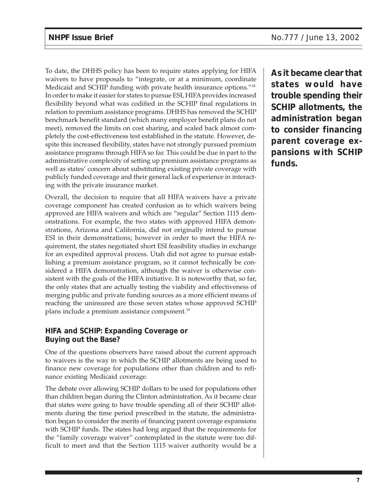To date, the DHHS policy has been to require states applying for HIFA waivers to have proposals to "integrate, or at a minimum, coordinate Medicaid and SCHIP funding with private health insurance options."18 In order to make it easier for states to pursue ESI, HIFA provides increased flexibility beyond what was codified in the SCHIP final regulations in relation to premium assistance programs. DHHS has removed the SCHIP benchmark benefit standard (which many employer benefit plans do not meet), removed the limits on cost sharing, and scaled back almost completely the cost-effectiveness test established in the statute. However, despite this increased flexibility, states have not strongly pursued premium assistance programs through HIFA so far. This could be due in part to the administrative complexity of setting up premium assistance programs as well as states' concern about substituting existing private coverage with publicly funded coverage and their general lack of experience in interacting with the private insurance market.

Overall, the decision to require that all HIFA waivers have a private coverage component has created confusion as to which waivers being approved are HIFA waivers and which are "regular" Section 1115 demonstrations. For example, the two states with approved HIFA demonstrations, Arizona and California, did not originally intend to pursue ESI in their demonstrations; however in order to meet the HIFA requirement, the states negotiated short ESI feasibility studies in exchange for an expedited approval process. Utah did not agree to pursue establishing a premium assistance program, so it cannot technically be considered a HIFA demonstration, although the waiver is otherwise consistent with the goals of the HIFA initiative. It is noteworthy that, so far, the only states that are actually testing the viability and effectiveness of merging public and private funding sources as a more efficient means of reaching the uninsured are those seven states whose approved SCHIP plans include a premium assistance component.19

#### **HIFA and SCHIP: Expanding Coverage or Buying out the Base?**

One of the questions observers have raised about the current approach to waivers is the way in which the SCHIP allotments are being used to finance new coverage for populations other than children and to refinance existing Medicaid coverage.

The debate over allowing SCHIP dollars to be used for populations other than children began during the Clinton administration. As it became clear that states were going to have trouble spending all of their SCHIP allotments during the time period prescribed in the statute, the administration began to consider the merits of financing parent coverage expansions with SCHIP funds. The states had long argued that the requirements for the "family coverage waiver" contemplated in the statute were too difficult to meet and that the Section 1115 waiver authority would be a

**As it became clear that states would have trouble spending their SCHIP allotments, the administration began to consider financing parent coverage expansions with SCHIP funds.**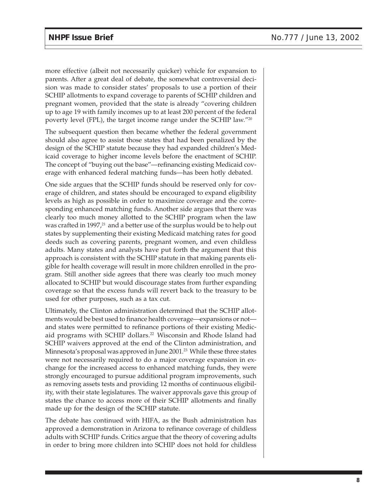more effective (albeit not necessarily quicker) vehicle for expansion to parents. After a great deal of debate, the somewhat controversial decision was made to consider states' proposals to use a portion of their SCHIP allotments to expand coverage to parents of SCHIP children and pregnant women, provided that the state is already "covering children up to age 19 with family incomes up to at least 200 percent of the federal poverty level (FPL), the target income range under the SCHIP law."20

The subsequent question then became whether the federal government should also agree to assist those states that had been penalized by the design of the SCHIP statute because they had expanded children's Medicaid coverage to higher income levels before the enactment of SCHIP. The concept of "buying out the base"—refinancing existing Medicaid coverage with enhanced federal matching funds—has been hotly debated.

One side argues that the SCHIP funds should be reserved only for coverage of children, and states should be encouraged to expand eligibility levels as high as possible in order to maximize coverage and the corresponding enhanced matching funds. Another side argues that there was clearly too much money allotted to the SCHIP program when the law was crafted in 1997,<sup>21</sup> and a better use of the surplus would be to help out states by supplementing their existing Medicaid matching rates for good deeds such as covering parents, pregnant women, and even childless adults. Many states and analysts have put forth the argument that this approach is consistent with the SCHIP statute in that making parents eligible for health coverage will result in more children enrolled in the program. Still another side agrees that there was clearly too much money allocated to SCHIP but would discourage states from further expanding coverage so that the excess funds will revert back to the treasury to be used for other purposes, such as a tax cut.

Ultimately, the Clinton administration determined that the SCHIP allotments would be best used to finance health coverage—expansions or not and states were permitted to refinance portions of their existing Medicaid programs with SCHIP dollars.<sup>22</sup> Wisconsin and Rhode Island had SCHIP waivers approved at the end of the Clinton administration, and Minnesota's proposal was approved in June 2001.<sup>23</sup> While these three states were not necessarily required to do a major coverage expansion in exchange for the increased access to enhanced matching funds, they were strongly encouraged to pursue additional program improvements, such as removing assets tests and providing 12 months of continuous eligibility, with their state legislatures. The waiver approvals gave this group of states the chance to access more of their SCHIP allotments and finally made up for the design of the SCHIP statute.

The debate has continued with HIFA, as the Bush administration has approved a demonstration in Arizona to refinance coverage of childless adults with SCHIP funds. Critics argue that the theory of covering adults in order to bring more children into SCHIP does not hold for childless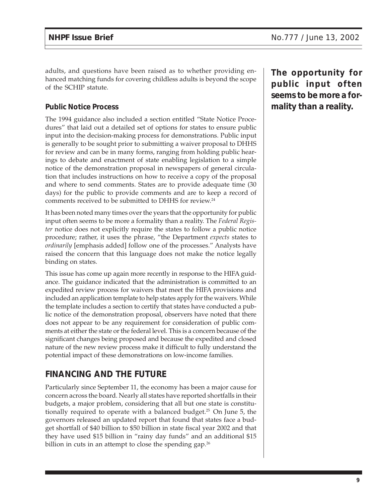adults, and questions have been raised as to whether providing enhanced matching funds for covering childless adults is beyond the scope of the SCHIP statute.

#### **Public Notice Process**

The 1994 guidance also included a section entitled "State Notice Procedures" that laid out a detailed set of options for states to ensure public input into the decision-making process for demonstrations. Public input is generally to be sought prior to submitting a waiver proposal to DHHS for review and can be in many forms, ranging from holding public hearings to debate and enactment of state enabling legislation to a simple notice of the demonstration proposal in newspapers of general circulation that includes instructions on how to receive a copy of the proposal and where to send comments. States are to provide adequate time (30 days) for the public to provide comments and are to keep a record of comments received to be submitted to DHHS for review.24

It has been noted many times over the years that the opportunity for public input often seems to be more a formality than a reality. The *Federal Register* notice does not explicitly require the states to follow a public notice procedure; rather, it uses the phrase, "the Department *expects* states to *ordinarily* [emphasis added] follow one of the processes." Analysts have raised the concern that this language does not make the notice legally binding on states.

This issue has come up again more recently in response to the HIFA guidance. The guidance indicated that the administration is committed to an expedited review process for waivers that meet the HIFA provisions and included an application template to help states apply for the waivers. While the template includes a section to certify that states have conducted a public notice of the demonstration proposal, observers have noted that there does not appear to be any requirement for consideration of public comments at either the state or the federal level. This is a concern because of the significant changes being proposed and because the expedited and closed nature of the new review process make it difficult to fully understand the potential impact of these demonstrations on low-income families.

### **FINANCING AND THE FUTURE**

Particularly since September 11, the economy has been a major cause for concern across the board. Nearly all states have reported shortfalls in their budgets, a major problem, considering that all but one state is constitutionally required to operate with a balanced budget.25 On June 5, the governors released an updated report that found that states face a budget shortfall of \$40 billion to \$50 billion in state fiscal year 2002 and that they have used \$15 billion in "rainy day funds" and an additional \$15 billion in cuts in an attempt to close the spending gap.<sup>26</sup>

**The opportunity for public input often seems to be more a formality than a reality.**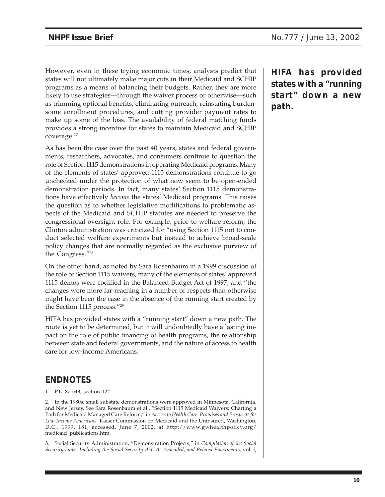However, even in these trying economic times, analysts predict that states will not ultimately make major cuts in their Medicaid and SCHIP programs as a means of balancing their budgets. Rather, they are more likely to use strategies—through the waiver process or otherwise—such as trimming optional benefits, eliminating outreach, reinstating burdensome enrollment procedures, and cutting provider payment rates to make up some of the loss. The availability of federal matching funds provides a strong incentive for states to maintain Medicaid and SCHIP coverage.27

As has been the case over the past 40 years, states and federal governments, researchers, advocates, and consumers continue to question the role of Section 1115 demonstrations in operating Medicaid programs. Many of the elements of states' approved 1115 demonstrations continue to go unchecked under the protection of what now seem to be open-ended demonstration periods. In fact, many states' Section 1115 demonstrations have effectively *become* the states' Medicaid programs. This raises the question as to whether legislative modifications to problematic aspects of the Medicaid and SCHIP statutes are needed to preserve the congressional oversight role. For example, prior to welfare reform, the Clinton administration was criticized for "using Section 1115 not to conduct selected welfare experiments but instead to achieve broad-scale policy changes that are normally regarded as the exclusive purview of the Congress."28

On the other hand, as noted by Sara Rosenbaum in a 1999 discussion of the role of Section 1115 waivers, many of the elements of states' approved 1115 demos were codified in the Balanced Budget Act of 1997, and "the changes were more far-reaching in a number of respects than otherwise might have been the case in the absence of the running start created by the Section 1115 process."29

HIFA has provided states with a "running start" down a new path. The route is yet to be determined, but it will undoubtedly have a lasting impact on the role of public financing of health programs, the relationship between state and federal governments, and the nature of access to health care for low-income Americans.

### **ENDNOTES**

1. P.L. 87-543, section 122.

2. In the 1980s, small substate demonstrations were approved in Minnesota, California, and New Jersey. See Sara Rosenbaum et al., "Section 1115 Medicaid Waivers: Charting a Path for Medicaid Managed Care Reform," in *Access to Health Care: Promises and Prospects for Low-Income Americans,* Kaiser Commission on Medicaid and the Uninsured, Washington, D.C., 1999, 181; accessed, June 7, 2002, at http://www.gwhealthpolicy.org/ medicaid\_publications.htm.

3. Social Security Administration, "Demonstration Projects," in *Compilation of the Social Security Laws, Including the Social Security Act, As Amended, and Related Enactments,* vol. I, **HIFA has provided states with a "running start" down a new path.**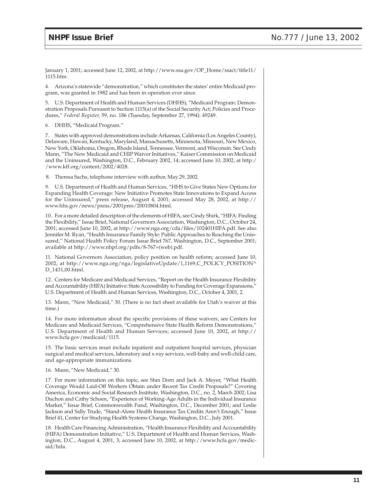January 1, 2001; accessed June 12, 2002, at http://www.ssa.gov/OP\_Home/ssact/title11/ 1115.htm.

4. Arizona's statewide "demonstration," which constitutes the states' entire Medicaid program, was granted in 1982 and has been in operation ever since.

5. U.S. Department of Health and Human Services (DHHS), "Medicaid Program: Demonstration Proposals Pursuant to Section 1115(a) of the Social Security Act; Policies and Procedures," *Federal Register,* 59, no. 186 (Tuesday, September 27, 1994): 49249.

6. DHHS, "Medicaid Program."

7. States with approved demonstrations include Arkansas, California (Los Angeles County), Delaware, Hawaii, Kentucky, Maryland, Massachusetts, Minnesota, Missouri, New Mexico, New York, Oklahoma, Oregon, Rhode Island, Tennessee, Vermont, and Wisconsin. See Cindy Mann, "The New Medicaid and CHIP Waiver Initiatives," Kaiser Commission on Medicaid and the Uninsured, Washington, D.C., February 2002, 14; accessed June 10, 2002, at http:/ /www.kff.org/content/2002/4028.

8. Theresa Sachs, telephone interview with author, May 29, 2002.

9. U.S. Department of Health and Human Services, "HHS to Give States New Options for Expanding Health Coverage: New Initiative Promotes State Innovations to Expand Access for the Uninsured," press release, August 4, 2001; accessed May 28, 2002, at http:// www.hhs.gov/news/press/2001pres/20010804.html.

10. For a more detailed description of the elements of HIFA, see Cindy Shirk, "HIFA: Finding the Flexibility," Issue Brief, National Governors Association, Washington, D.C., October 24, 2001; accessed June 10, 2002, at http://www.nga.org/cda/files/102401HIFA.pdf. See also Jennifer M. Ryan, "Health Insurance Family Style: Public Approaches to Reaching the Uninsured," National Health Policy Forum Issue Brief 767, Washington, D.C., September 2001; available at http://www.nhpf.org/pdfs/8-767+(web).pdf.

11. National Governors Association, policy position on health reform; accessed June 10, 2002, at http://www.nga.org/nga/legislativeUpdate/1,1169,C\_POLICY\_POSITION^ D\_1431,00.html.

12. Centers for Medicare and Medicaid Services, "Report on the Health Insurance Flexibility and Accountability (HIFA) Initiative: State Accessibility to Funding for Coverage Expansions," U.S. Department of Health and Human Services, Washington, D.C., October 4, 2001, 2.

13. Mann, "New Medicaid," 30. (There is no fact sheet available for Utah's waiver at this time.)

14. For more information about the specific provisions of these waivers, see Centers for Medicare and Medicaid Services, "Comprehensive State Health Reform Demonstrations," U.S. Department of Health and Human Services; accessed June 10, 2002, at http:// www.hcfa.gov/medicaid/1115.

15. The basic services must include inpatient and outpatient hospital services, physician surgical and medical services, laboratory and x-ray services, well-baby and well-child care, and age-appropriate immunizations.

16. Mann, "New Medicaid," 30.

17. For more information on this topic, see Stan Dorn and Jack A. Meyer, "What Health Coverage Would Laid-Off Workers Obtain under Recent Tax Credit Proposals?" Covering America, Economic and Social Research Institute, Washington, D.C., no. 2, March 2002; Lisa Duchon and Cathy Schoen, "Experience of Working-Age Adults in the Individual Insurance Market," Issue Brief, Commonwealth Fund, Washington, D.C., December 2001; and Leslie Jackson and Sally Trude, "Stand-Alone Health Insurance Tax Credits Aren't Enough," Issue Brief 41, Center for Studying Health Systems Change, Washington, D.C., July 2001.

18. Health Care Financing Administration, "Health Insurance Flexibility and Accountability (HIFA) Demonstration Initiative," U.S. Department of Health and Human Services, Washington, D.C., August 4, 2001, 3; accessed June 10, 2002, at http://www.hcfa.gov/medicaid/hifa.